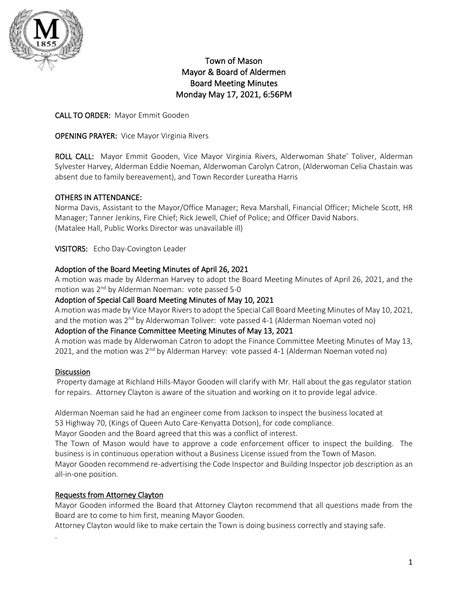

# Town of Mason Mayor & Board of Aldermen Board Meeting Minutes Monday May 17, 2021, 6:56PM

## CALL TO ORDER: Mayor Emmit Gooden

## OPENING PRAYER: Vice Mayor Virginia Rivers

ROLL CALL: Mayor Emmit Gooden, Vice Mayor Virginia Rivers, Alderwoman Shate' Toliver, Alderman Sylvester Harvey, Alderman Eddie Noeman, Alderwoman Carolyn Catron, (Alderwoman Celia Chastain was absent due to family bereavement), and Town Recorder Lureatha Harris

## OTHERS IN ATTENDANCE:

Norma Davis, Assistant to the Mayor/Office Manager; Reva Marshall, Financial Officer; Michele Scott, HR Manager; Tanner Jenkins, Fire Chief; Rick Jewell, Chief of Police; and Officer David Nabors. (Matalee Hall, Public Works Director was unavailable ill)

VISITORS: Echo Day-Covington Leader

## Adoption of the Board Meeting Minutes of April 26, 2021

A motion was made by Alderman Harvey to adopt the Board Meeting Minutes of April 26, 2021, and the motion was 2<sup>nd</sup> by Alderman Noeman: vote passed 5-0

### Adoption of Special Call Board Meeting Minutes of May 10, 2021

A motion was made by Vice Mayor Rivers to adopt the Special Call Board Meeting Minutes of May 10, 2021, and the motion was  $2^{nd}$  by Alderwoman Toliver: vote passed 4-1 (Alderman Noeman voted no)

## Adoption of the Finance Committee Meeting Minutes of May 13, 2021

A motion was made by Alderwoman Catron to adopt the Finance Committee Meeting Minutes of May 13, 2021, and the motion was  $2^{nd}$  by Alderman Harvey: vote passed 4-1 (Alderman Noeman voted no)

## **Discussion**

.

Property damage at Richland Hills-Mayor Gooden will clarify with Mr. Hall about the gas regulator station for repairs. Attorney Clayton is aware of the situation and working on it to provide legal advice.

Alderman Noeman said he had an engineer come from Jackson to inspect the business located at 53 Highway 70, (Kings of Queen Auto Care-Kenyatta Dotson), for code compliance.

Mayor Gooden and the Board agreed that this was a conflict of interest.

The Town of Mason would have to approve a code enforcement officer to inspect the building. The business is in continuous operation without a Business License issued from the Town of Mason.

Mayor Gooden recommend re-advertising the Code Inspector and Building Inspector job description as an all-in-one position.

## Requests from Attorney Clayton

Mayor Gooden informed the Board that Attorney Clayton recommend that all questions made from the Board are to come to him first, meaning Mayor Gooden.

Attorney Clayton would like to make certain the Town is doing business correctly and staying safe.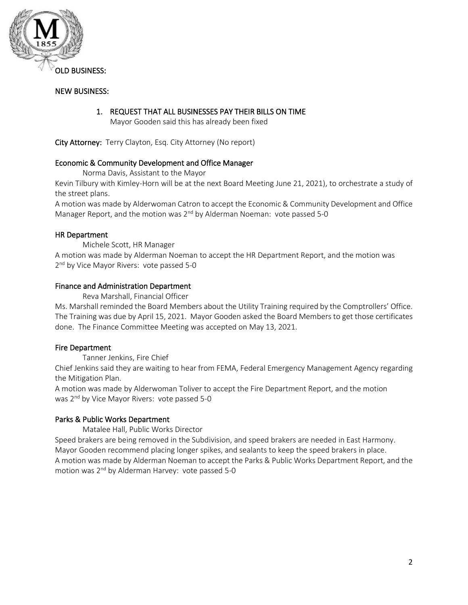

### NEW BUSINESS:

### 1. REQUEST THAT ALL BUSINESSES PAY THEIR BILLS ON TIME

Mayor Gooden said this has already been fixed

City Attorney: Terry Clayton, Esq. City Attorney (No report)

#### Economic & Community Development and Office Manager

Norma Davis, Assistant to the Mayor

Kevin Tilbury with Kimley-Horn will be at the next Board Meeting June 21, 2021), to orchestrate a study of the street plans.

A motion was made by Alderwoman Catron to accept the Economic & Community Development and Office Manager Report, and the motion was 2<sup>nd</sup> by Alderman Noeman: vote passed 5-0

#### HR Department

Michele Scott, HR Manager

A motion was made by Alderman Noeman to accept the HR Department Report, and the motion was 2<sup>nd</sup> by Vice Mayor Rivers: vote passed 5-0

#### Finance and Administration Department

Reva Marshall, Financial Officer

Ms. Marshall reminded the Board Members about the Utility Training required by the Comptrollers' Office. The Training was due by April 15, 2021. Mayor Gooden asked the Board Members to get those certificates done. The Finance Committee Meeting was accepted on May 13, 2021.

## Fire Department

Tanner Jenkins, Fire Chief

Chief Jenkins said they are waiting to hear from FEMA, Federal Emergency Management Agency regarding the Mitigation Plan.

A motion was made by Alderwoman Toliver to accept the Fire Department Report, and the motion was 2<sup>nd</sup> by Vice Mayor Rivers: vote passed 5-0

## Parks & Public Works Department

Matalee Hall, Public Works Director

Speed brakers are being removed in the Subdivision, and speed brakers are needed in East Harmony. Mayor Gooden recommend placing longer spikes, and sealants to keep the speed brakers in place. A motion was made by Alderman Noeman to accept the Parks & Public Works Department Report, and the motion was 2nd by Alderman Harvey: vote passed 5-0